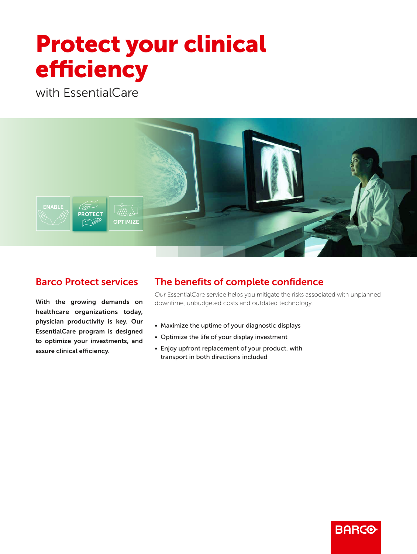# **Protect your clinical** efficiency

with EssentialCare



## Barco Protect services

With the growing demands on healthcare organizations today, physician productivity is key. Our EssentialCare program is designed to optimize your investments, and assure clinical efficiency.

# The benefits of complete confidence

Our EssentialCare service helps you mitigate the risks associated with unplanned downtime, unbudgeted costs and outdated technology.

- Maximize the uptime of your diagnostic displays
- Optimize the life of your display investment
- Enjoy upfront replacement of your product, with transport in both directions included

# **BARCO-**